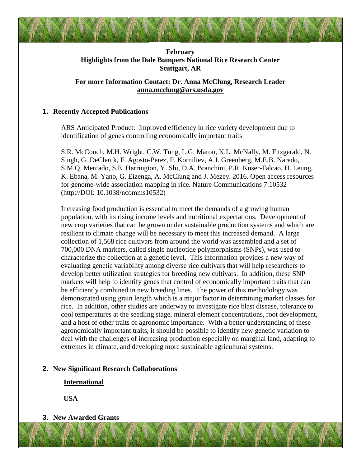# **February Highlights from the Dale Bumpers National Rice Research Center Stuttgart, AR**

# **For more Information Contact: Dr. Anna McClung, Research Leader [anna.mcclung@ars.usda.gov](mailto:anna.mcclung@ars.usda.gov)**

## **1. Recently Accepted Publications**

ARS Anticipated Product: Improved efficiency in rice variety development due to identification of genes controlling economically important traits

S.R. McCouch, M.H. Wright, C.W. Tung, L.G. Maron, K.L. McNally, M. Fitzgerald, N. Singh, G. DeClerck, F. Agosto-Perez, P. Korniliev, A.J. Greenberg, M.E.B. Naredo, S.M.Q. Mercado, S.E. Harrington, Y. Shi, D.A. Branchini, P.R. Kuser-Falcao, H. Leung, K. Ebana, M. Yano, G. Eizenga, A. McClung and J. Mezey. 2016. Open access resources for genome-wide association mapping in rice. Nature Communications 7:10532 (http://DOI: 10.1038/ncomms10532)

Increasing food production is essential to meet the demands of a growing human population, with its rising income levels and nutritional expectations. Development of new crop varieties that can be grown under sustainable production systems and which are resilient to climate change will be necessary to meet this increased demand. A large collection of 1,568 rice cultivars from around the world was assembled and a set of 700,000 DNA markers, called single nucleotide polymorphisms (SNPs), was used to characterize the collection at a genetic level. This information provides a new way of evaluating genetic variability among diverse rice cultivars that will help researchers to develop better utilization strategies for breeding new cultivars. In addition, these SNP markers will help to identify genes that control of economically important traits that can be efficiently combined in new breeding lines. The power of this methodology was demonstrated using grain length which is a major factor in determining market classes for rice. In addition, other studies are underway to investigate rice blast disease, tolerance to cool temperatures at the seedling stage, mineral element concentrations, root development, and a host of other traits of agronomic importance. With a better understanding of these agronomically important traits, it should be possible to identify new genetic variation to deal with the challenges of increasing production especially on marginal land, adapting to extremes in climate, and developing more sustainable agricultural systems.

### **2. New Significant Research Collaborations**

**International**

**USA**

**3. New Awarded Grants**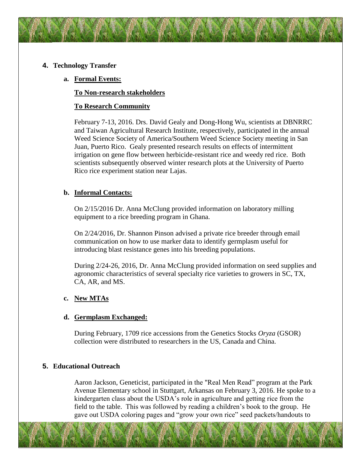## **4. Technology Transfer**

## **a. Formal Events:**

**To Non-research stakeholders**

## **To Research Community**

February 7-13, 2016. Drs. David Gealy and Dong-Hong Wu, scientists at DBNRRC and Taiwan Agricultural Research Institute, respectively, participated in the annual Weed Science Society of America/Southern Weed Science Society meeting in San Juan, Puerto Rico. Gealy presented research results on effects of intermittent irrigation on gene flow between herbicide-resistant rice and weedy red rice. Both scientists subsequently observed winter research plots at the University of Puerto Rico rice experiment station near Lajas.

## **b. Informal Contacts:**

On 2/15/2016 Dr. Anna McClung provided information on laboratory milling equipment to a rice breeding program in Ghana.

On 2/24/2016, Dr. Shannon Pinson advised a private rice breeder through email communication on how to use marker data to identify germplasm useful for introducing blast resistance genes into his breeding populations.

During 2/24-26, 2016, Dr. Anna McClung provided information on seed supplies and agronomic characteristics of several specialty rice varieties to growers in SC, TX, CA, AR, and MS.

### **c. New MTAs**

### **d. Germplasm Exchanged:**

During February, 1709 rice accessions from the Genetics Stocks *Oryza* (GSOR) collection were distributed to researchers in the US, Canada and China.

### **5. Educational Outreach**

Aaron Jackson, Geneticist, participated in the "Real Men Read" program at the Park Avenue Elementary school in Stuttgart, Arkansas on February 3, 2016. He spoke to a kindergarten class about the USDA's role in agriculture and getting rice from the field to the table. This was followed by reading a children's book to the group. He gave out USDA coloring pages and "grow your own rice" seed packets/handouts to